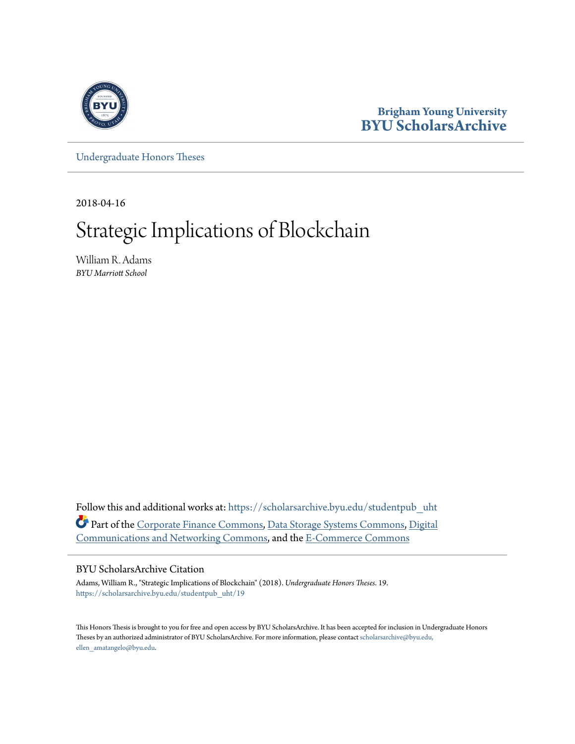

## **Brigham Young University [BYU ScholarsArchive](https://scholarsarchive.byu.edu?utm_source=scholarsarchive.byu.edu%2Fstudentpub_uht%2F19&utm_medium=PDF&utm_campaign=PDFCoverPages)**

[Undergraduate Honors Theses](https://scholarsarchive.byu.edu/studentpub_uht?utm_source=scholarsarchive.byu.edu%2Fstudentpub_uht%2F19&utm_medium=PDF&utm_campaign=PDFCoverPages)

2018-04-16

# Strategic Implications of Blockchain

William R. Adams *BYU Marriott School*

Follow this and additional works at: [https://scholarsarchive.byu.edu/studentpub\\_uht](https://scholarsarchive.byu.edu/studentpub_uht?utm_source=scholarsarchive.byu.edu%2Fstudentpub_uht%2F19&utm_medium=PDF&utm_campaign=PDFCoverPages) Part of the [Corporate Finance Commons](http://network.bepress.com/hgg/discipline/629?utm_source=scholarsarchive.byu.edu%2Fstudentpub_uht%2F19&utm_medium=PDF&utm_campaign=PDFCoverPages), [Data Storage Systems Commons,](http://network.bepress.com/hgg/discipline/261?utm_source=scholarsarchive.byu.edu%2Fstudentpub_uht%2F19&utm_medium=PDF&utm_campaign=PDFCoverPages) [Digital](http://network.bepress.com/hgg/discipline/262?utm_source=scholarsarchive.byu.edu%2Fstudentpub_uht%2F19&utm_medium=PDF&utm_campaign=PDFCoverPages) [Communications and Networking Commons,](http://network.bepress.com/hgg/discipline/262?utm_source=scholarsarchive.byu.edu%2Fstudentpub_uht%2F19&utm_medium=PDF&utm_campaign=PDFCoverPages) and the [E-Commerce Commons](http://network.bepress.com/hgg/discipline/624?utm_source=scholarsarchive.byu.edu%2Fstudentpub_uht%2F19&utm_medium=PDF&utm_campaign=PDFCoverPages)

#### BYU ScholarsArchive Citation

Adams, William R., "Strategic Implications of Blockchain" (2018). *Undergraduate Honors Theses*. 19. [https://scholarsarchive.byu.edu/studentpub\\_uht/19](https://scholarsarchive.byu.edu/studentpub_uht/19?utm_source=scholarsarchive.byu.edu%2Fstudentpub_uht%2F19&utm_medium=PDF&utm_campaign=PDFCoverPages)

This Honors Thesis is brought to you for free and open access by BYU ScholarsArchive. It has been accepted for inclusion in Undergraduate Honors Theses by an authorized administrator of BYU ScholarsArchive. For more information, please contact [scholarsarchive@byu.edu,](mailto:scholarsarchive@byu.edu,%20ellen_amatangelo@byu.edu) [ellen\\_amatangelo@byu.edu.](mailto:scholarsarchive@byu.edu,%20ellen_amatangelo@byu.edu)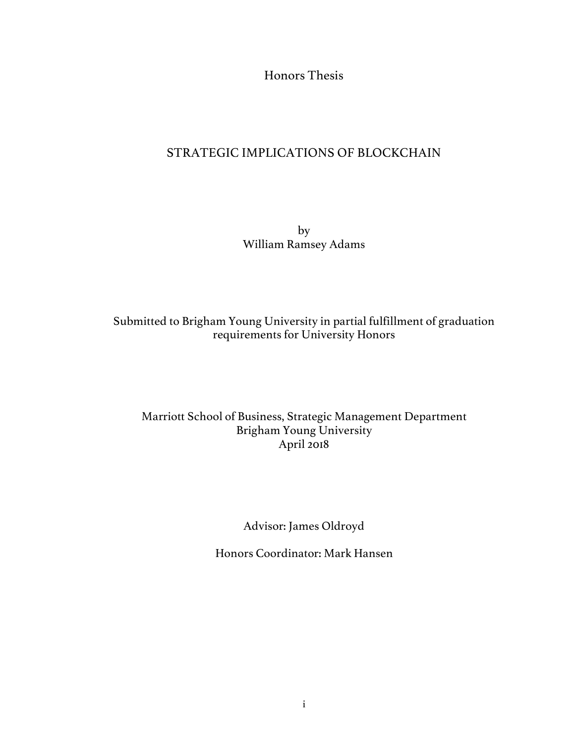Honors Thesis

## STRATEGIC IMPLICATIONS OF BLOCKCHAIN

by William Ramsey Adams

### Submitted to Brigham Young University in partial fulfillment of graduation requirements for University Honors

## Marriott School of Business, Strategic Management Department Brigham Young University April 2018

Advisor: James Oldroyd

Honors Coordinator: Mark Hansen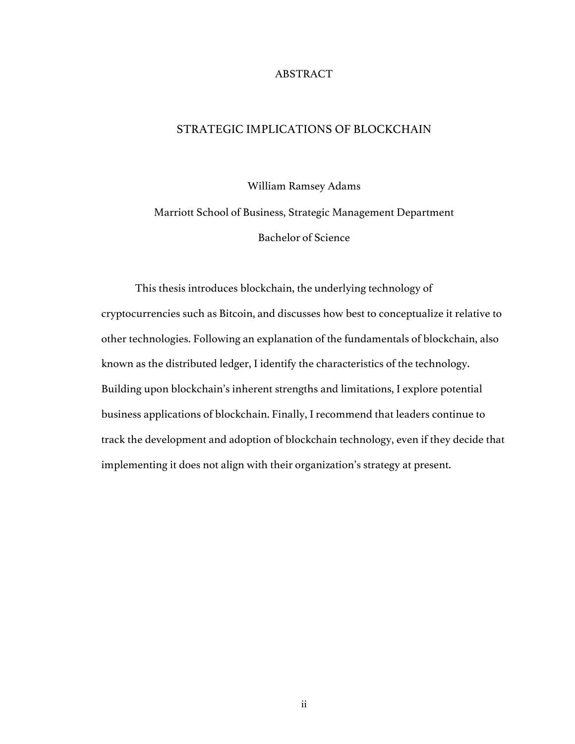#### ABSTRACT

#### STRATEGIC IMPLICATIONS OF BLOCKCHAIN

William Ramsey Adams

Marriott School of Business, Strategic Management Department Bachelor of Science

This thesis introduces blockchain, the underlying technology of cryptocurrencies such as Bitcoin, and discusses how best to conceptualize it relative to other technologies. Following an explanation of the fundamentals of blockchain, also known as the distributed ledger, I identify the characteristics of the technology. Building upon blockchain's inherent strengths and limitations, I explore potential business applications of blockchain. Finally, I recommend that leaders continue to track the development and adoption of blockchain technology, even if they decide that implementing it does not align with their organization's strategy at present.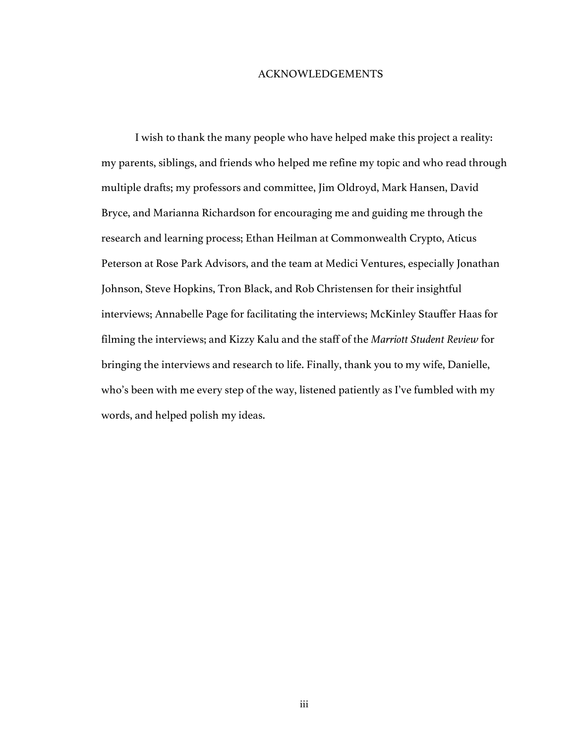#### ACKNOWLEDGEMENTS

I wish to thank the many people who have helped make this project a reality: my parents, siblings, and friends who helped me refine my topic and who read through multiple drafts; my professors and committee, Jim Oldroyd, Mark Hansen, David Bryce, and Marianna Richardson for encouraging me and guiding me through the research and learning process; Ethan Heilman at Commonwealth Crypto, Aticus Peterson at Rose Park Advisors, and the team at Medici Ventures, especially Jonathan Johnson, Steve Hopkins, Tron Black, and Rob Christensen for their insightful interviews; Annabelle Page for facilitating the interviews; McKinley Stauffer Haas for filming the interviews; and Kizzy Kalu and the staff of the *Marriott Student Review* for bringing the interviews and research to life. Finally, thank you to my wife, Danielle, who's been with me every step of the way, listened patiently as I've fumbled with my words, and helped polish my ideas.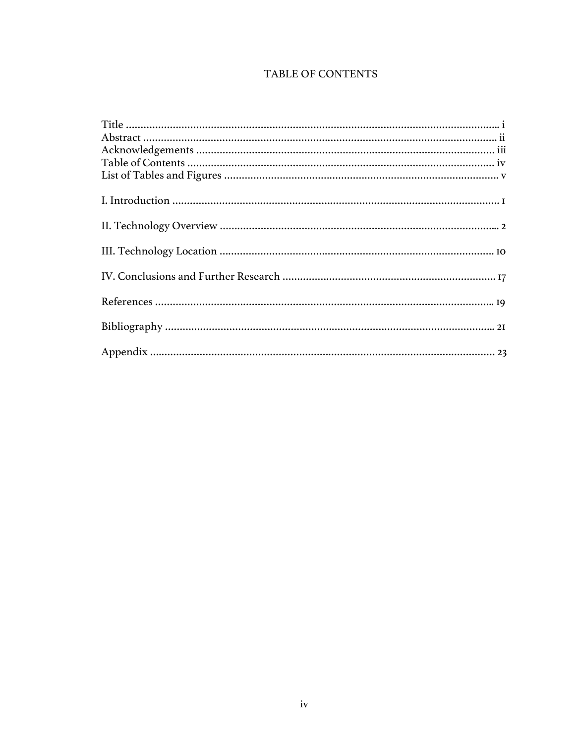## TABLE OF CONTENTS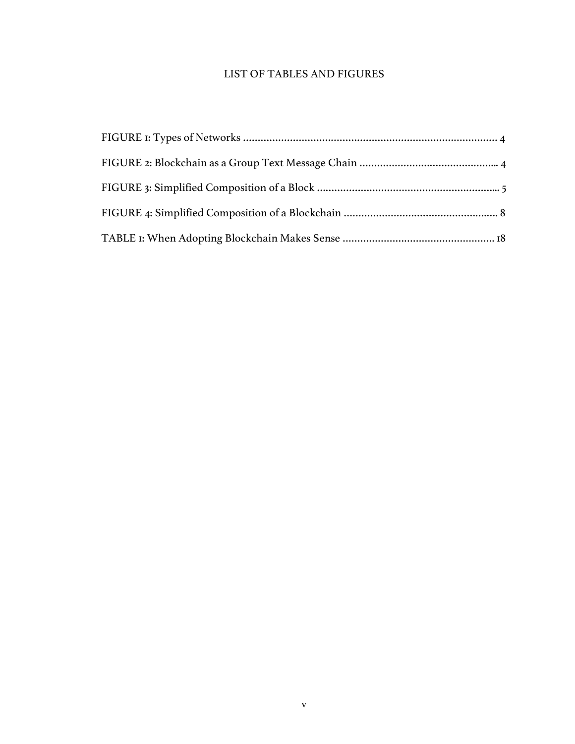## LIST OF TABLES AND FIGURES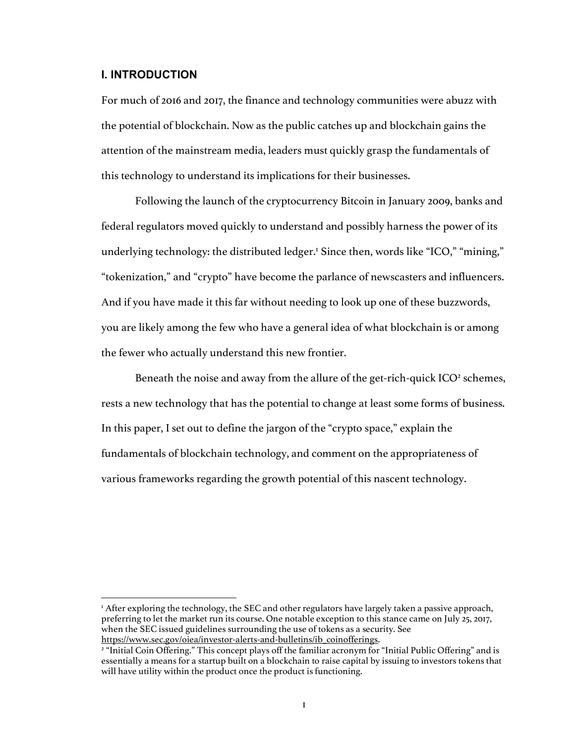#### **I. INTRODUCTION**

For much of 2016 and 2017, the finance and technology communities were abuzz with the potential of blockchain. Now as the public catches up and blockchain gains the attention of the mainstream media, leaders must quickly grasp the fundamentals of this technology to understand its implications for their businesses.

Following the launch of the cryptocurrency Bitcoin in January 2009, banks and federal regulators moved quickly to understand and possibly harness the power of its underlying technology: the distributed ledger.<sup>1</sup> Since then, words like "ICO," "mining," "tokenization," and "crypto" have become the parlance of newscasters and influencers. And if you have made it this far without needing to look up one of these buzzwords, you are likely among the few who have a general idea of what blockchain is or among the fewer who actually understand this new frontier.

Beneath the noise and away from the allure of the get-rich-quick  $ICO<sup>2</sup>$  schemes, rests a new technology that has the potential to change at least some forms of business. In this paper, I set out to define the jargon of the "crypto space," explain the fundamentals of blockchain technology, and comment on the appropriateness of various frameworks regarding the growth potential of this nascent technology.

<sup>&</sup>lt;sup>1</sup> After exploring the technology, the SEC and other regulators have largely taken a passive approach, preferring to let the market run its course. One notable exception to this stance came on July 25, 2017, when the SEC issued guidelines surrounding the use of tokens as a security. See https://www.sec.gov/oiea/investor-alerts-and-bulletins/ib\_coinofferings.

<sup>&</sup>lt;sup>2</sup> "Initial Coin Offering." This concept plays off the familiar acronym for "Initial Public Offering" and is essentially a means for a startup built on a blockchain to raise capital by issuing to investors tokens that will have utility within the product once the product is functioning.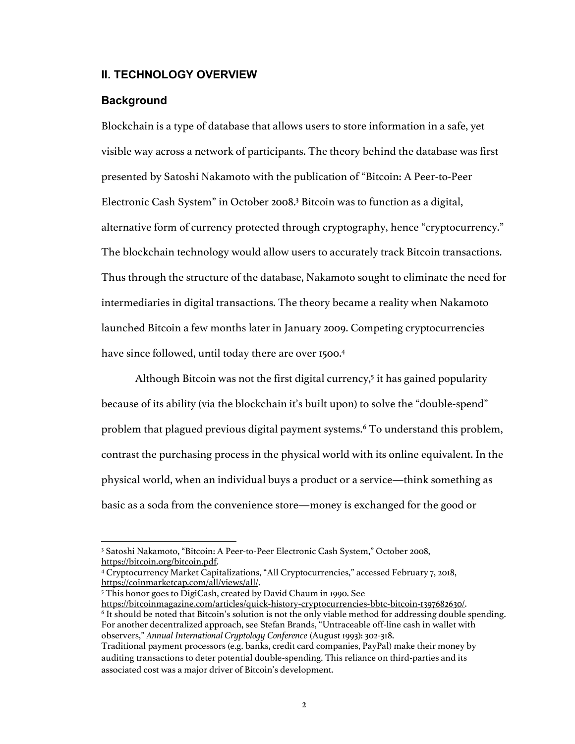#### **II. TECHNOLOGY OVERVIEW**

#### **Background**

 $\overline{a}$ 

Blockchain is a type of database that allows users to store information in a safe, yet visible way across a network of participants. The theory behind the database was first presented by Satoshi Nakamoto with the publication of "Bitcoin: A Peer-to-Peer Electronic Cash System" in October 2008.3 Bitcoin was to function as a digital, alternative form of currency protected through cryptography, hence "cryptocurrency." The blockchain technology would allow users to accurately track Bitcoin transactions. Thus through the structure of the database, Nakamoto sought to eliminate the need for intermediaries in digital transactions. The theory became a reality when Nakamoto launched Bitcoin a few months later in January 2009. Competing cryptocurrencies have since followed, until today there are over 1500.<sup>4</sup>

Although Bitcoin was not the first digital currency, $5$  it has gained popularity because of its ability (via the blockchain it's built upon) to solve the "double-spend" problem that plagued previous digital payment systems.6 To understand this problem, contrast the purchasing process in the physical world with its online equivalent. In the physical world, when an individual buys a product or a service—think something as basic as a soda from the convenience store—money is exchanged for the good or

<sup>3</sup> Satoshi Nakamoto, "Bitcoin: A Peer-to-Peer Electronic Cash System," October 2008, https://bitcoin.org/bitcoin.pdf.<br><sup>4</sup> Cryptocurrency Market Capitalizations, "All Cryptocurrencies," accessed February 7, 2018,

https://coinmarketcap.com/all/views/all/.

<sup>5</sup> This honor goes to DigiCash, created by David Chaum in 1990. See

https://bitcoinmagazine.com/articles/quick-history-cryptocurrencies-bbtc-bitcoin-1397682630/.

<sup>6</sup> It should be noted that Bitcoin's solution is not the only viable method for addressing double spending. For another decentralized approach, see Stefan Brands, "Untraceable off-line cash in wallet with observers," *Annual International Cryptology Conference* (August 1993): 302-318.

Traditional payment processors (e.g. banks, credit card companies, PayPal) make their money by auditing transactions to deter potential double-spending. This reliance on third-parties and its associated cost was a major driver of Bitcoin's development.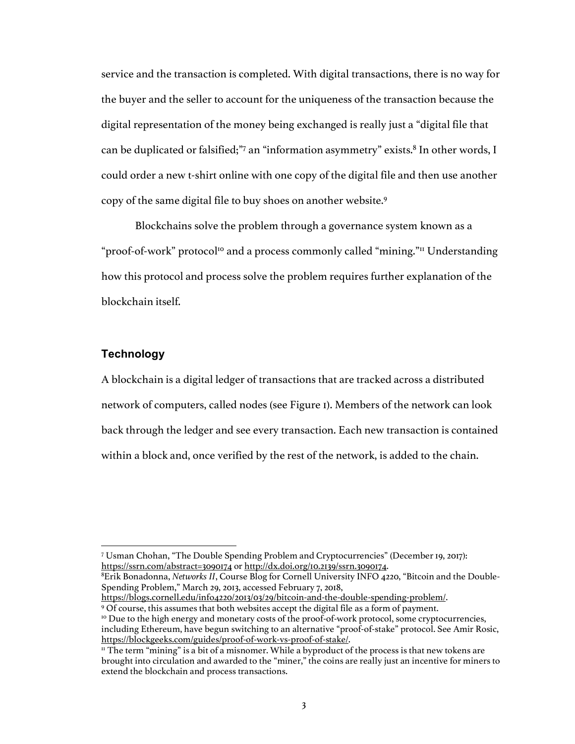service and the transaction is completed. With digital transactions, there is no way for the buyer and the seller to account for the uniqueness of the transaction because the digital representation of the money being exchanged is really just a "digital file that can be duplicated or falsified;"7 an "information asymmetry" exists.<sup>8</sup> In other words, I could order a new t-shirt online with one copy of the digital file and then use another copy of the same digital file to buy shoes on another website.9

Blockchains solve the problem through a governance system known as a "proof-of-work" protocol<sup>10</sup> and a process commonly called "mining."<sup>11</sup> Understanding how this protocol and process solve the problem requires further explanation of the blockchain itself.

#### **Technology**

 $\overline{a}$ 

A blockchain is a digital ledger of transactions that are tracked across a distributed network of computers, called nodes (see Figure 1). Members of the network can look back through the ledger and see every transaction. Each new transaction is contained within a block and, once verified by the rest of the network, is added to the chain.

8 Erik Bonadonna, *Networks II*, Course Blog for Cornell University INFO 4220, "Bitcoin and the Double-Spending Problem," March 29, 2013, accessed February 7, 2018,

<sup>7</sup> Usman Chohan, "The Double Spending Problem and Cryptocurrencies" (December 19, 2017): https://ssrn.com/abstract=3090174 or http://dx.doi.org/10.2139/ssrn.3090174.

https://blogs.cornell.edu/info4220/2013/03/29/bitcoin-and-the-double-spending-problem/.<br>9 Of course, this assumes that both websites accept the digital file as a form of payment.

<sup>&</sup>lt;sup>10</sup> Due to the high energy and monetary costs of the proof-of-work protocol, some cryptocurrencies, including Ethereum, have begun switching to an alternative "proof-of-stake" protocol. See Amir Rosic,

 $\mu$  The term "mining" is a bit of a misnomer. While a byproduct of the process is that new tokens are brought into circulation and awarded to the "miner," the coins are really just an incentive for miners to extend the blockchain and process transactions.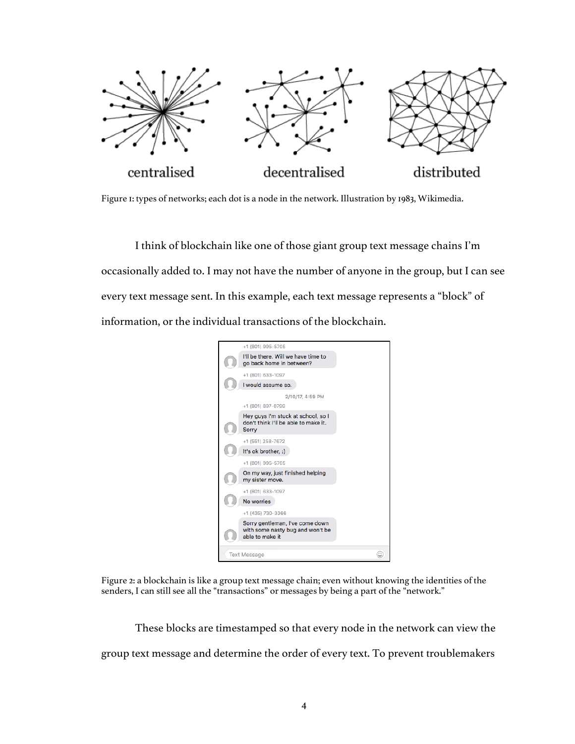

Figure 1: types of networks; each dot is a node in the network. Illustration by 1983, Wikimedia.

I think of blockchain like one of those giant group text message chains I'm occasionally added to. I may not have the number of anyone in the group, but I can see every text message sent. In this example, each text message represents a "block" of information, or the individual transactions of the blockchain.



Figure 2: a blockchain is like a group text message chain; even without knowing the identities of the senders, I can still see all the "transactions" or messages by being a part of the "network."

These blocks are timestamped so that every node in the network can view the group text message and determine the order of every text. To prevent troublemakers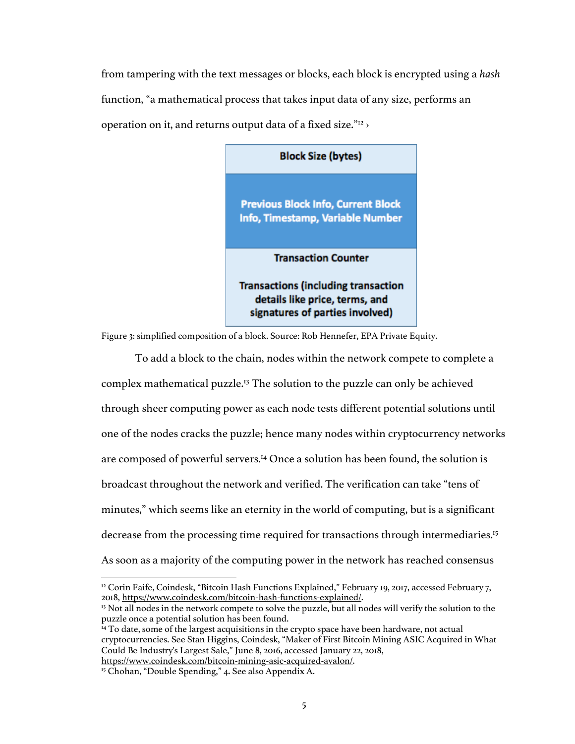from tampering with the text messages or blocks, each block is encrypted using a *hash* function, "a mathematical process that takes input data of any size, performs an operation on it, and returns output data of a fixed size."12 ›



Figure 3: simplified composition of a block. Source: Rob Hennefer, EPA Private Equity.

To add a block to the chain, nodes within the network compete to complete a complex mathematical puzzle.13 The solution to the puzzle can only be achieved through sheer computing power as each node tests different potential solutions until one of the nodes cracks the puzzle; hence many nodes within cryptocurrency networks are composed of powerful servers.14 Once a solution has been found, the solution is broadcast throughout the network and verified. The verification can take "tens of minutes," which seems like an eternity in the world of computing, but is a significant decrease from the processing time required for transactions through intermediaries.15 As soon as a majority of the computing power in the network has reached consensus

 $\overline{a}$ 

<sup>&</sup>lt;sup>12</sup> Corin Faife, Coindesk, "Bitcoin Hash Functions Explained," February 19, 2017, accessed February 7, 2018, https://www.coindesk.com/bitcoin-hash-functions-explained/. 13 Not all nodes in the network compete to solve the puzzle, but all nodes will verify the solution to the

puzzle once a potential solution has been found.

 $^{14}$  To date, some of the largest acquisitions in the crypto space have been hardware, not actual cryptocurrencies. See Stan Higgins, Coindesk, "Maker of First Bitcoin Mining ASIC Acquired in What Could Be Industry's Largest Sale," June 8, 2016, accessed January 22, 2018, https://www.coindesk.com/bitcoin-mining-asic-acquired-avalon/.

<sup>15</sup> Chohan, "Double Spending," 4**.** See also Appendix A.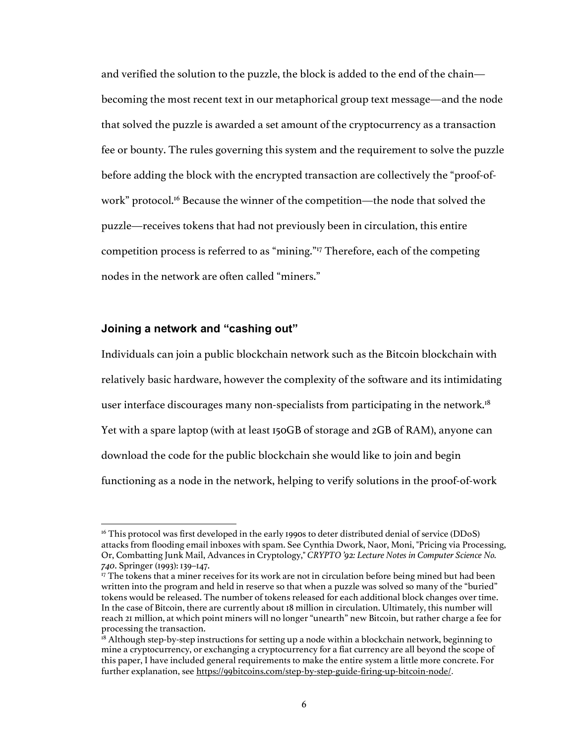and verified the solution to the puzzle, the block is added to the end of the chain becoming the most recent text in our metaphorical group text message—and the node that solved the puzzle is awarded a set amount of the cryptocurrency as a transaction fee or bounty. The rules governing this system and the requirement to solve the puzzle before adding the block with the encrypted transaction are collectively the "proof-ofwork" protocol.<sup>16</sup> Because the winner of the competition—the node that solved the puzzle—receives tokens that had not previously been in circulation, this entire competition process is referred to as "mining."17 Therefore, each of the competing nodes in the network are often called "miners."

#### **Joining a network and "cashing out"**

Individuals can join a public blockchain network such as the Bitcoin blockchain with relatively basic hardware, however the complexity of the software and its intimidating user interface discourages many non-specialists from participating in the network.<sup>18</sup> Yet with a spare laptop (with at least 150GB of storage and 2GB of RAM), anyone can download the code for the public blockchain she would like to join and begin functioning as a node in the network, helping to verify solutions in the proof-of-work

<sup>&</sup>lt;sup>16</sup> This protocol was first developed in the early 1990s to deter distributed denial of service (DDoS) attacks from flooding email inboxes with spam. See Cynthia Dwork, Naor, Moni, "Pricing via Processing, Or, Combatting Junk Mail, Advances in Cryptology," *CRYPTO '92: Lecture Notes in Computer Science No. 740*. Springer (1993): 139–147.

<sup>&</sup>lt;sup>17</sup> The tokens that a miner receives for its work are not in circulation before being mined but had been written into the program and held in reserve so that when a puzzle was solved so many of the "buried" tokens would be released. The number of tokens released for each additional block changes over time. In the case of Bitcoin, there are currently about 18 million in circulation. Ultimately, this number will reach 21 million, at which point miners will no longer "unearth" new Bitcoin, but rather charge a fee for processing the transaction.

 $18$  Although step-by-step instructions for setting up a node within a blockchain network, beginning to mine a cryptocurrency, or exchanging a cryptocurrency for a fiat currency are all beyond the scope of this paper, I have included general requirements to make the entire system a little more concrete. For further explanation, see https://99bitcoins.com/step-by-step-guide-firing-up-bitcoin-node/.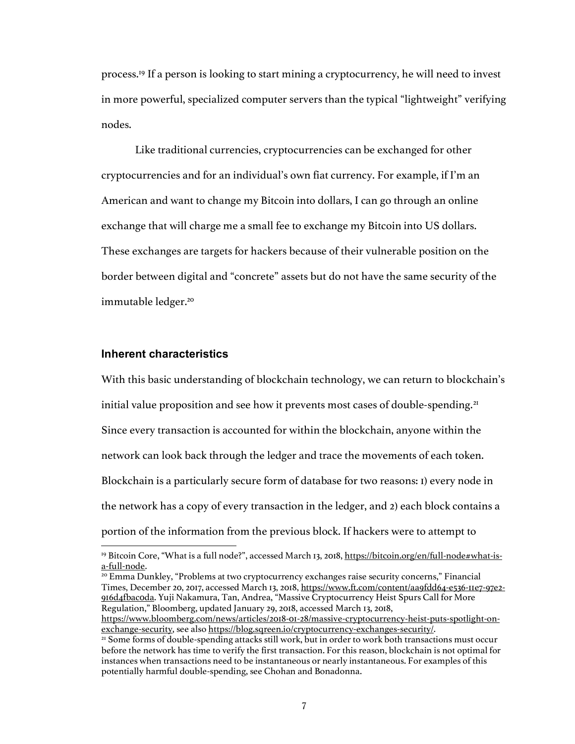process. <sup>19</sup> If a person is looking to start mining a cryptocurrency, he will need to invest in more powerful, specialized computer servers than the typical "lightweight" verifying nodes.

Like traditional currencies, cryptocurrencies can be exchanged for other cryptocurrencies and for an individual's own fiat currency. For example, if I'm an American and want to change my Bitcoin into dollars, I can go through an online exchange that will charge me a small fee to exchange my Bitcoin into US dollars. These exchanges are targets for hackers because of their vulnerable position on the border between digital and "concrete" assets but do not have the same security of the immutable ledger.<sup>20</sup>

#### **Inherent characteristics**

 $\overline{a}$ 

With this basic understanding of blockchain technology, we can return to blockchain's initial value proposition and see how it prevents most cases of double-spending.<sup>21</sup> Since every transaction is accounted for within the blockchain, anyone within the network can look back through the ledger and trace the movements of each token. Blockchain is a particularly secure form of database for two reasons: 1) every node in the network has a copy of every transaction in the ledger, and 2) each block contains a portion of the information from the previous block. If hackers were to attempt to

<sup>20</sup> Emma Dunkley, "Problems at two cryptocurrency exchanges raise security concerns," Financial Times, December 20, 2017, accessed March 13, 2018, https://www.ft.com/content/aa9fdd64-e536-11e7-97e2- 916d4fbac0da. Yuji Nakamura, Tan, Andrea, "Massive Cryptocurrency Heist Spurs Call for More Regulation," Bloomberg, updated January 29, 2018, accessed March 13, 2018,

<sup>&</sup>lt;sup>19</sup> Bitcoin Core, "What is a full node?", accessed March 13, 2018, https://bitcoin.org/en/full-node#what-isa-full-node.

https://www.bloomberg.com/news/articles/2018-01-28/massive-cryptocurrency-heist-puts-spotlight-onexchange-security, see also https://blog.sqreen.io/cryptocurrency-exchanges-security/.

<sup>21</sup> Some forms of double-spending attacks still work, but in order to work both transactions must occur before the network has time to verify the first transaction. For this reason, blockchain is not optimal for instances when transactions need to be instantaneous or nearly instantaneous. For examples of this potentially harmful double-spending, see Chohan and Bonadonna.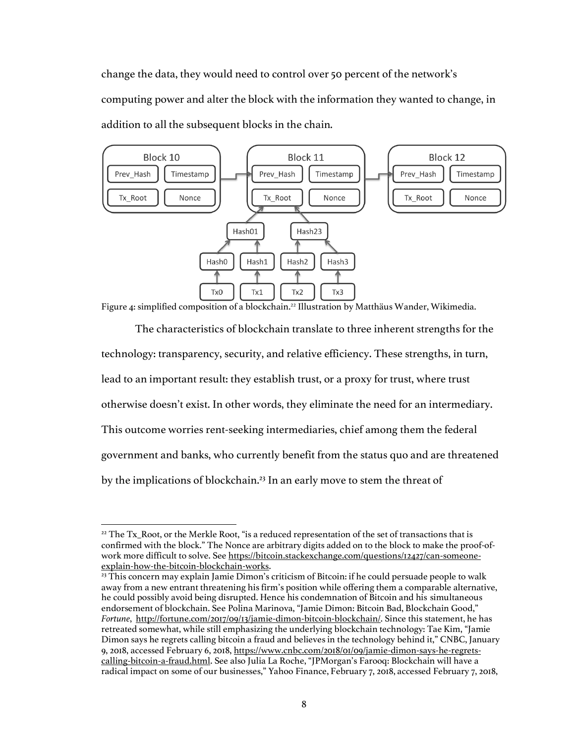change the data, they would need to control over 50 percent of the network's computing power and alter the block with the information they wanted to change, in addition to all the subsequent blocks in the chain.



Figure 4: simplified composition of a blockchain.<sup>22</sup> Illustration by Matthäus Wander, Wikimedia.

The characteristics of blockchain translate to three inherent strengths for the technology: transparency, security, and relative efficiency. These strengths, in turn, lead to an important result: they establish trust, or a proxy for trust, where trust otherwise doesn't exist. In other words, they eliminate the need for an intermediary. This outcome worries rent-seeking intermediaries, chief among them the federal government and banks, who currently benefit from the status quo and are threatened by the implications of blockchain.<sup>23</sup> In an early move to stem the threat of

<sup>&</sup>lt;sup>22</sup> The Tx\_Root, or the Merkle Root, "is a reduced representation of the set of transactions that is confirmed with the block." The Nonce are arbitrary digits added on to the block to make the proof-ofwork more difficult to solve. See https://bitcoin.stackexchange.com/questions/12427/can-someoneexplain-how-the-bitcoin-blockchain-works.

<sup>&</sup>lt;sup>23</sup> This concern may explain Jamie Dimon's criticism of Bitcoin: if he could persuade people to walk away from a new entrant threatening his firm's position while offering them a comparable alternative, he could possibly avoid being disrupted. Hence his condemnation of Bitcoin and his simultaneous endorsement of blockchain. See Polina Marinova, "Jamie Dimon: Bitcoin Bad, Blockchain Good," *Fortune*, http://fortune.com/2017/09/13/jamie-dimon-bitcoin-blockchain/. Since this statement, he has retreated somewhat, while still emphasizing the underlying blockchain technology: Tae Kim, "Jamie Dimon says he regrets calling bitcoin a fraud and believes in the technology behind it," CNBC, January 9, 2018, accessed February 6, 2018, https://www.cnbc.com/2018/01/09/jamie-dimon-says-he-regretscalling-bitcoin-a-fraud.html. See also Julia La Roche, "JPMorgan's Farooq: Blockchain will have a radical impact on some of our businesses," Yahoo Finance, February 7, 2018, accessed February 7, 2018,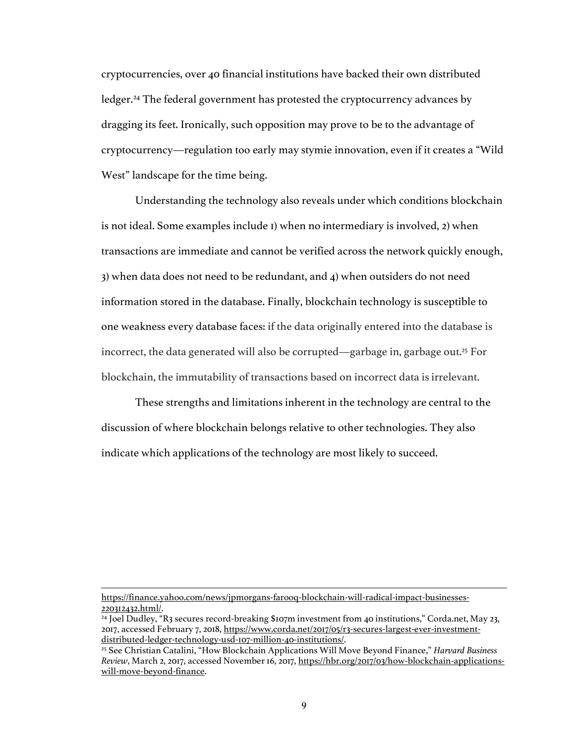cryptocurrencies, over 40 financial institutions have backed their own distributed ledger.24 The federal government has protested the cryptocurrency advances by dragging its feet. Ironically, such opposition may prove to be to the advantage of cryptocurrency—regulation too early may stymie innovation, even if it creates a "Wild West" landscape for the time being.

Understanding the technology also reveals under which conditions blockchain is not ideal. Some examples include 1) when no intermediary is involved, 2) when transactions are immediate and cannot be verified across the network quickly enough, 3) when data does not need to be redundant, and 4) when outsiders do not need information stored in the database. Finally, blockchain technology is susceptible to one weakness every database faces: if the data originally entered into the database is incorrect, the data generated will also be corrupted—garbage in, garbage out.25 For blockchain, the immutability of transactions based on incorrect data is irrelevant.

These strengths and limitations inherent in the technology are central to the discussion of where blockchain belongs relative to other technologies. They also indicate which applications of the technology are most likely to succeed.

https://finance.yahoo.com/news/jpmorgans-farooq-blockchain-will-radical-impact-businesses-220312432.html/.

-

<sup>24</sup> Joel Dudley, "R3 secures record-breaking \$107m investment from 40 institutions," Corda.net, May 23, 2017, accessed February 7, 2018, https://www.corda.net/2017/05/r3-secures-largest-ever-investment-<br>distributed-ledger-technology-usd-107-million-40-institutions/.

<sup>&</sup>lt;sup>25</sup> See Christian Catalini, "How Blockchain Applications Will Move Beyond Finance," *Harvard Business Review*, March 2, 2017, accessed November 16, 2017, https://hbr.org/2017/03/how-blockchain-applicationswill-move-beyond-finance.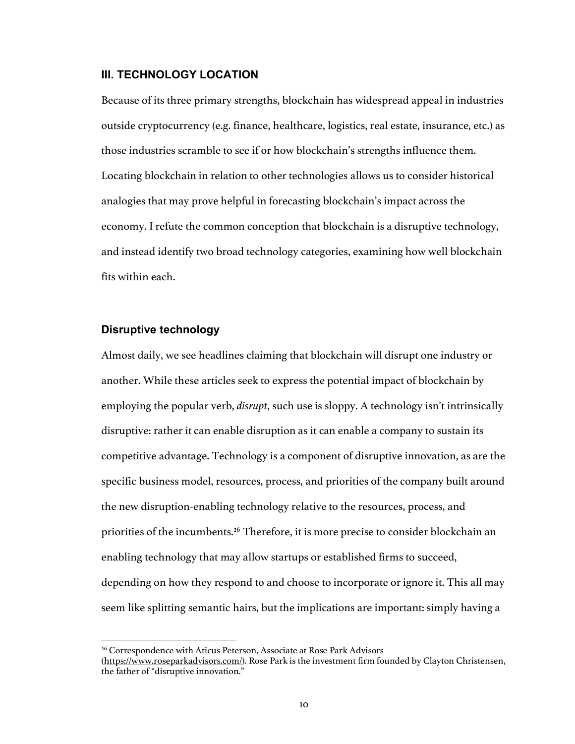#### **III. TECHNOLOGY LOCATION**

Because of its three primary strengths, blockchain has widespread appeal in industries outside cryptocurrency (e.g. finance, healthcare, logistics, real estate, insurance, etc.) as those industries scramble to see if or how blockchain's strengths influence them. Locating blockchain in relation to other technologies allows us to consider historical analogies that may prove helpful in forecasting blockchain's impact across the economy. I refute the common conception that blockchain is a disruptive technology, and instead identify two broad technology categories, examining how well blockchain fits within each.

#### **Disruptive technology**

 $\overline{a}$ 

Almost daily, we see headlines claiming that blockchain will disrupt one industry or another. While these articles seek to express the potential impact of blockchain by employing the popular verb, *disrupt*, such use is sloppy. A technology isn't intrinsically disruptive: rather it can enable disruption as it can enable a company to sustain its competitive advantage. Technology is a component of disruptive innovation, as are the specific business model, resources, process, and priorities of the company built around the new disruption-enabling technology relative to the resources, process, and priorities of the incumbents.<sup>26</sup> Therefore, it is more precise to consider blockchain an enabling technology that may allow startups or established firms to succeed, depending on how they respond to and choose to incorporate or ignore it. This all may seem like splitting semantic hairs, but the implications are important: simply having a

<sup>26</sup> Correspondence with Aticus Peterson, Associate at Rose Park Advisors

<sup>(</sup>https://www.roseparkadvisors.com/). Rose Park is the investment firm founded by Clayton Christensen, the father of "disruptive innovation."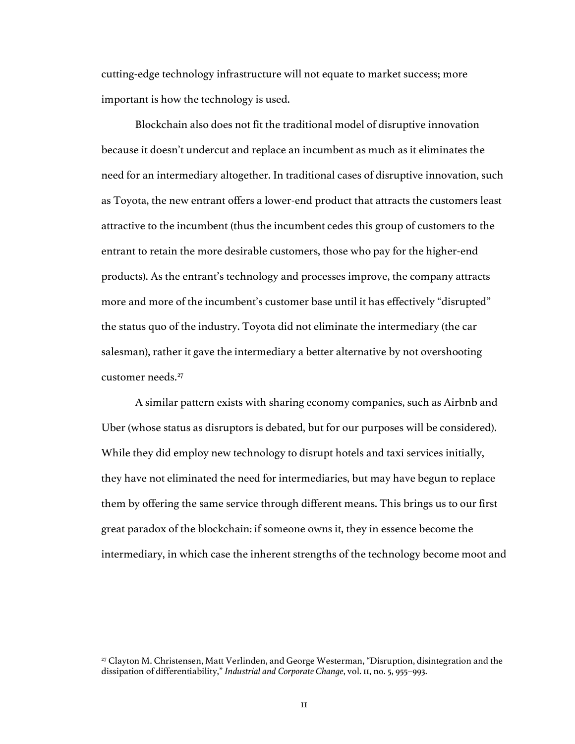cutting-edge technology infrastructure will not equate to market success; more important is how the technology is used.

Blockchain also does not fit the traditional model of disruptive innovation because it doesn't undercut and replace an incumbent as much as it eliminates the need for an intermediary altogether. In traditional cases of disruptive innovation, such as Toyota, the new entrant offers a lower-end product that attracts the customers least attractive to the incumbent (thus the incumbent cedes this group of customers to the entrant to retain the more desirable customers, those who pay for the higher-end products). As the entrant's technology and processes improve, the company attracts more and more of the incumbent's customer base until it has effectively "disrupted" the status quo of the industry. Toyota did not eliminate the intermediary (the car salesman), rather it gave the intermediary a better alternative by not overshooting customer needs.27

A similar pattern exists with sharing economy companies, such as Airbnb and Uber (whose status as disruptors is debated, but for our purposes will be considered). While they did employ new technology to disrupt hotels and taxi services initially, they have not eliminated the need for intermediaries, but may have begun to replace them by offering the same service through different means. This brings us to our first great paradox of the blockchain: if someone owns it, they in essence become the intermediary, in which case the inherent strengths of the technology become moot and

 $\overline{a}$ 

<sup>27</sup> Clayton M. Christensen, Matt Verlinden, and George Westerman, "Disruption, disintegration and the dissipation of differentiability," *Industrial and Corporate Change*, vol. 11, no. 5, 955–993.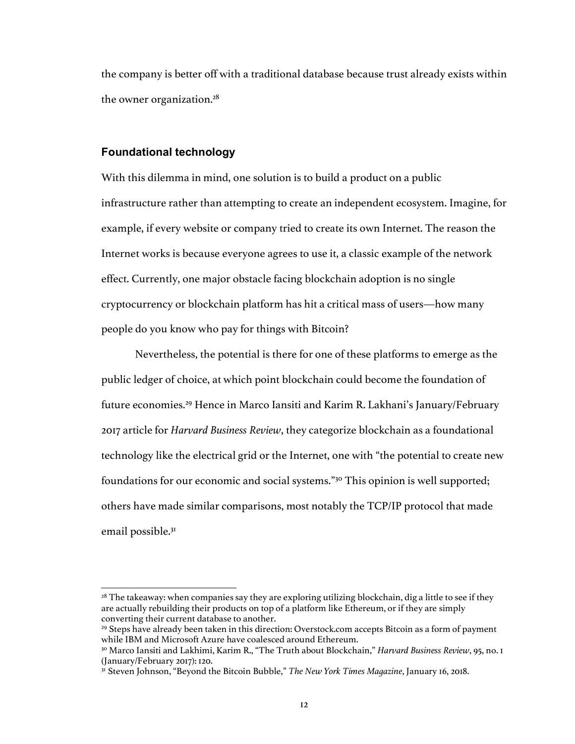the company is better off with a traditional database because trust already exists within the owner organization.28

#### **Foundational technology**

With this dilemma in mind, one solution is to build a product on a public infrastructure rather than attempting to create an independent ecosystem. Imagine, for example, if every website or company tried to create its own Internet. The reason the Internet works is because everyone agrees to use it, a classic example of the network effect. Currently, one major obstacle facing blockchain adoption is no single cryptocurrency or blockchain platform has hit a critical mass of users—how many people do you know who pay for things with Bitcoin?

Nevertheless, the potential is there for one of these platforms to emerge as the public ledger of choice, at which point blockchain could become the foundation of future economies.29 Hence in Marco Iansiti and Karim R. Lakhani's January/February 2017 article for *Harvard Business Review*, they categorize blockchain as a foundational technology like the electrical grid or the Internet, one with "the potential to create new foundations for our economic and social systems."30 This opinion is well supported; others have made similar comparisons, most notably the TCP/IP protocol that made email possible.<sup>31</sup>

 $\overline{a}$  $28$  The takeaway: when companies say they are exploring utilizing blockchain, dig a little to see if they are actually rebuilding their products on top of a platform like Ethereum, or if they are simply converting their current database to another.

<sup>&</sup>lt;sup>29</sup> Steps have already been taken in this direction: Overstock.com accepts Bitcoin as a form of payment while IBM and Microsoft Azure have coalesced around Ethereum.

<sup>30</sup> Marco Iansiti and Lakhimi, Karim R., "The Truth about Blockchain," *Harvard Business Review*, 95, no. 1 (January/February 2017): 120.

<sup>31</sup> Steven Johnson, "Beyond the Bitcoin Bubble," *The New York Times Magazine*, January 16, 2018.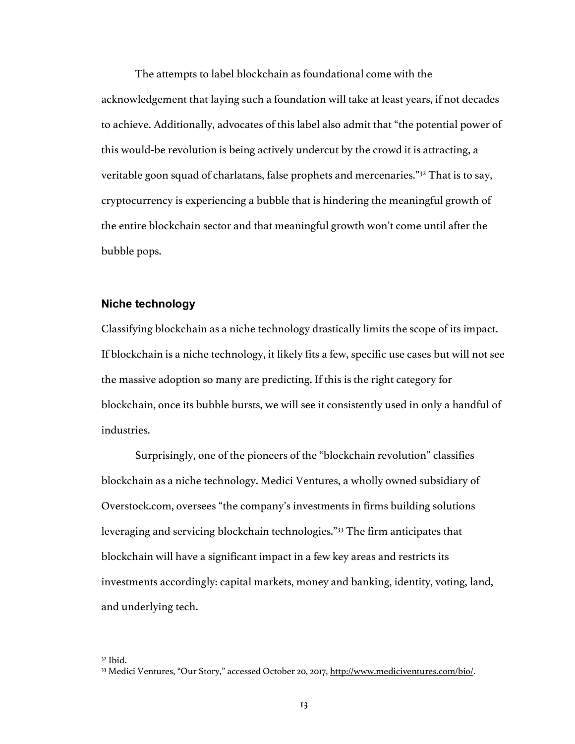The attempts to label blockchain as foundational come with the acknowledgement that laying such a foundation will take at least years, if not decades to achieve. Additionally, advocates of this label also admit that "the potential power of this would-be revolution is being actively undercut by the crowd it is attracting, a veritable goon squad of charlatans, false prophets and mercenaries."32 That is to say, cryptocurrency is experiencing a bubble that is hindering the meaningful growth of the entire blockchain sector and that meaningful growth won't come until after the bubble pops.

#### **Niche technology**

Classifying blockchain as a niche technology drastically limits the scope of its impact. If blockchain is a niche technology, it likely fits a few, specific use cases but will not see the massive adoption so many are predicting. If this is the right category for blockchain, once its bubble bursts, we will see it consistently used in only a handful of industries.

Surprisingly, one of the pioneers of the "blockchain revolution" classifies blockchain as a niche technology. Medici Ventures, a wholly owned subsidiary of Overstock.com, oversees "the company's investments in firms building solutions leveraging and servicing blockchain technologies."33 The firm anticipates that blockchain will have a significant impact in a few key areas and restricts its investments accordingly: capital markets, money and banking, identity, voting, land, and underlying tech.

 $\overline{a}$ 

<sup>32</sup> Ibid.

<sup>33</sup> Medici Ventures, "Our Story," accessed October 20, 2017, http://www.mediciventures.com/bio/.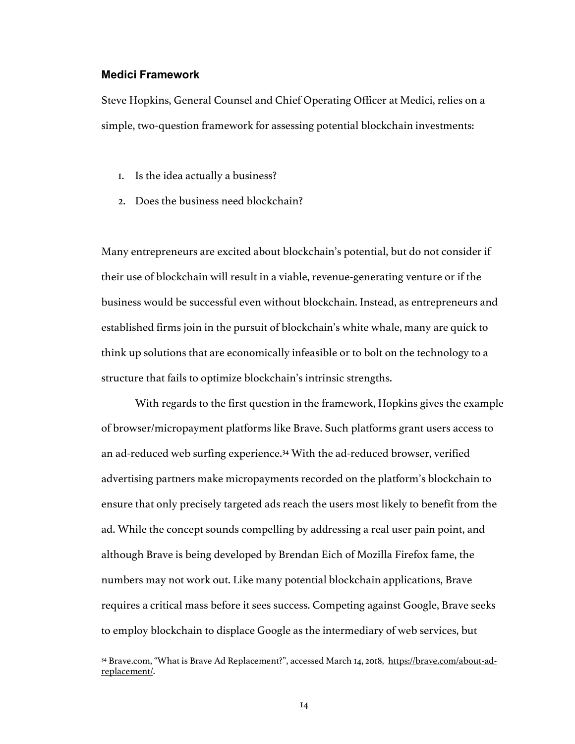#### **Medici Framework**

 $\overline{a}$ 

Steve Hopkins, General Counsel and Chief Operating Officer at Medici, relies on a simple, two-question framework for assessing potential blockchain investments:

- 1. Is the idea actually a business?
- 2. Does the business need blockchain?

Many entrepreneurs are excited about blockchain's potential, but do not consider if their use of blockchain will result in a viable, revenue-generating venture or if the business would be successful even without blockchain. Instead, as entrepreneurs and established firms join in the pursuit of blockchain's white whale, many are quick to think up solutions that are economically infeasible or to bolt on the technology to a structure that fails to optimize blockchain's intrinsic strengths.

With regards to the first question in the framework, Hopkins gives the example of browser/micropayment platforms like Brave. Such platforms grant users access to an ad-reduced web surfing experience.34 With the ad-reduced browser, verified advertising partners make micropayments recorded on the platform's blockchain to ensure that only precisely targeted ads reach the users most likely to benefit from the ad. While the concept sounds compelling by addressing a real user pain point, and although Brave is being developed by Brendan Eich of Mozilla Firefox fame, the numbers may not work out. Like many potential blockchain applications, Brave requires a critical mass before it sees success. Competing against Google, Brave seeks to employ blockchain to displace Google as the intermediary of web services, but

<sup>34</sup> Brave.com, "What is Brave Ad Replacement?", accessed March 14, 2018, https://brave.com/about-adreplacement/.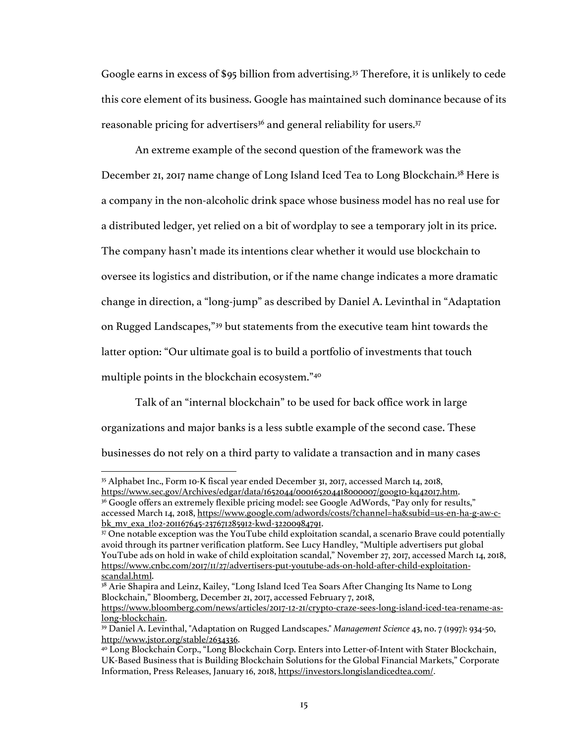Google earns in excess of \$95 billion from advertising.35 Therefore, it is unlikely to cede this core element of its business. Google has maintained such dominance because of its reasonable pricing for advertisers<sup>36</sup> and general reliability for users.<sup>37</sup>

An extreme example of the second question of the framework was the December 21, 2017 name change of Long Island Iced Tea to Long Blockchain.38 Here is a company in the non-alcoholic drink space whose business model has no real use for a distributed ledger, yet relied on a bit of wordplay to see a temporary jolt in its price. The company hasn't made its intentions clear whether it would use blockchain to oversee its logistics and distribution, or if the name change indicates a more dramatic change in direction, a "long-jump" as described by Daniel A. Levinthal in "Adaptation on Rugged Landscapes,"39 but statements from the executive team hint towards the latter option: "Our ultimate goal is to build a portfolio of investments that touch multiple points in the blockchain ecosystem."40

Talk of an "internal blockchain" to be used for back office work in large organizations and major banks is a less subtle example of the second case. These businesses do not rely on a third party to validate a transaction and in many cases

<sup>35</sup> Alphabet Inc., Form 10-K fiscal year ended December 31, 2017, accessed March 14, 2018,

https://www.sec.gov/Archives/edgar/data/1652044/000165204418000007/goog10-kq42017.htm. <sup>36</sup> Google offers an extremely flexible pricing model: see Google AdWords, "Pay only for results," accessed March 14, 2018, https://www.google.com/adwords/costs/?channel=ha&subid=us-en-ha-g-aw-cbk\_mv\_exa\_1!o2-201167645-237671285912-kwd-32200984791.

<sup>37</sup> One notable exception was the YouTube child exploitation scandal, a scenario Brave could potentially avoid through its partner verification platform. See Lucy Handley, "Multiple advertisers put global YouTube ads on hold in wake of child exploitation scandal," November 27, 2017, accessed March 14, 2018, https://www.cnbc.com/2017/11/27/advertisers-put-youtube-ads-on-hold-after-child-exploitationscandal.html.

<sup>&</sup>lt;sup>38</sup> Arie Shapira and Leinz, Kailey, "Long Island Iced Tea Soars After Changing Its Name to Long Blockchain," Bloomberg, December 21, 2017, accessed February 7, 2018,

https://www.bloomberg.com/news/articles/2017-12-21/crypto-craze-sees-long-island-iced-tea-rename-aslong-blockchain.

<sup>39</sup> Daniel A. Levinthal, "Adaptation on Rugged Landscapes." *Management Science* 43, no. 7 (1997): 934-50, http://www.jstor.org/stable/2634336.

<sup>40</sup> Long Blockchain Corp., "Long Blockchain Corp. Enters into Letter-of-Intent with Stater Blockchain, UK-Based Business that is Building Blockchain Solutions for the Global Financial Markets," Corporate Information, Press Releases, January 16, 2018, https://investors.longislandicedtea.com/.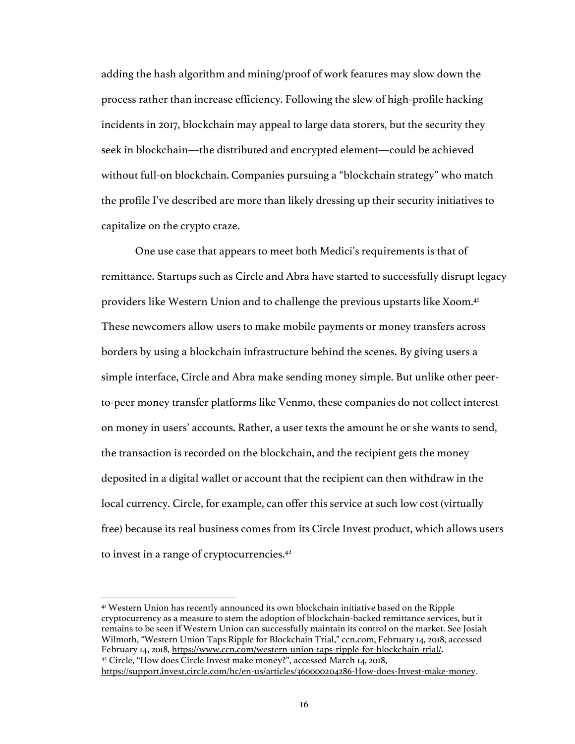adding the hash algorithm and mining/proof of work features may slow down the process rather than increase efficiency. Following the slew of high-profile hacking incidents in 2017, blockchain may appeal to large data storers, but the security they seek in blockchain—the distributed and encrypted element—could be achieved without full-on blockchain. Companies pursuing a "blockchain strategy" who match the profile I've described are more than likely dressing up their security initiatives to capitalize on the crypto craze.

One use case that appears to meet both Medici's requirements is that of remittance. Startups such as Circle and Abra have started to successfully disrupt legacy providers like Western Union and to challenge the previous upstarts like Xoom.41 These newcomers allow users to make mobile payments or money transfers across borders by using a blockchain infrastructure behind the scenes. By giving users a simple interface, Circle and Abra make sending money simple. But unlike other peerto-peer money transfer platforms like Venmo, these companies do not collect interest on money in users' accounts. Rather, a user texts the amount he or she wants to send, the transaction is recorded on the blockchain, and the recipient gets the money deposited in a digital wallet or account that the recipient can then withdraw in the local currency. Circle, for example, can offer this service at such low cost (virtually free) because its real business comes from its Circle Invest product, which allows users to invest in a range of cryptocurrencies.42

 $\overline{a}$ 

<sup>41</sup> Western Union has recently announced its own blockchain initiative based on the Ripple cryptocurrency as a measure to stem the adoption of blockchain-backed remittance services, but it remains to be seen if Western Union can successfully maintain its control on the market. See Josiah Wilmoth, "Western Union Taps Ripple for Blockchain Trial," ccn.com, February 14, 2018, accessed February 14, 2018, https://www.ccn.com/western-union-taps-ripple-for-blockchain-trial/. 42 Circle, "How does Circle Invest make money?", accessed March 14, 2018, https://support.invest.circle.com/hc/en-us/articles/360000204286-How-does-Invest-make-money.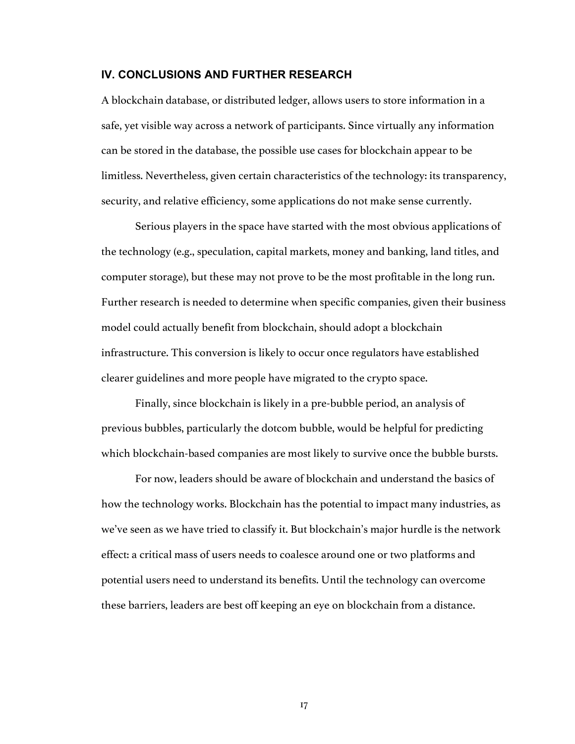#### **IV. CONCLUSIONS AND FURTHER RESEARCH**

A blockchain database, or distributed ledger, allows users to store information in a safe, yet visible way across a network of participants. Since virtually any information can be stored in the database, the possible use cases for blockchain appear to be limitless. Nevertheless, given certain characteristics of the technology: its transparency, security, and relative efficiency, some applications do not make sense currently.

Serious players in the space have started with the most obvious applications of the technology (e.g., speculation, capital markets, money and banking, land titles, and computer storage), but these may not prove to be the most profitable in the long run. Further research is needed to determine when specific companies, given their business model could actually benefit from blockchain, should adopt a blockchain infrastructure. This conversion is likely to occur once regulators have established clearer guidelines and more people have migrated to the crypto space.

Finally, since blockchain is likely in a pre-bubble period, an analysis of previous bubbles, particularly the dotcom bubble, would be helpful for predicting which blockchain-based companies are most likely to survive once the bubble bursts.

For now, leaders should be aware of blockchain and understand the basics of how the technology works. Blockchain has the potential to impact many industries, as we've seen as we have tried to classify it. But blockchain's major hurdle is the network effect: a critical mass of users needs to coalesce around one or two platforms and potential users need to understand its benefits. Until the technology can overcome these barriers, leaders are best off keeping an eye on blockchain from a distance.

17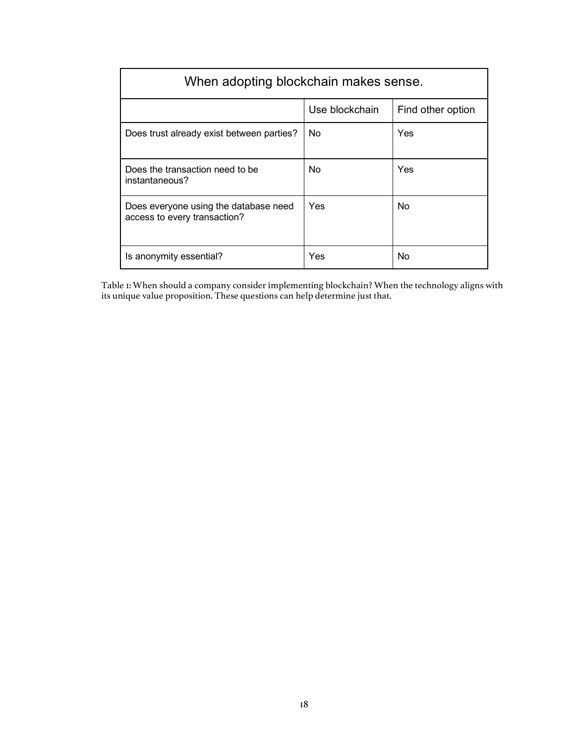| When adopting blockchain makes sense.                                 |                |                   |  |  |
|-----------------------------------------------------------------------|----------------|-------------------|--|--|
|                                                                       | Use blockchain | Find other option |  |  |
| Does trust already exist between parties?                             | No.            | Yes               |  |  |
| Does the transaction need to be<br>instantaneous?                     | No             | Yes               |  |  |
| Does everyone using the database need<br>access to every transaction? | Yes            | No                |  |  |
| Is anonymity essential?                                               | Yes            | No                |  |  |

Table 1: When should a company consider implementing blockchain? When the technology aligns with its unique value proposition. These questions can help determine just that.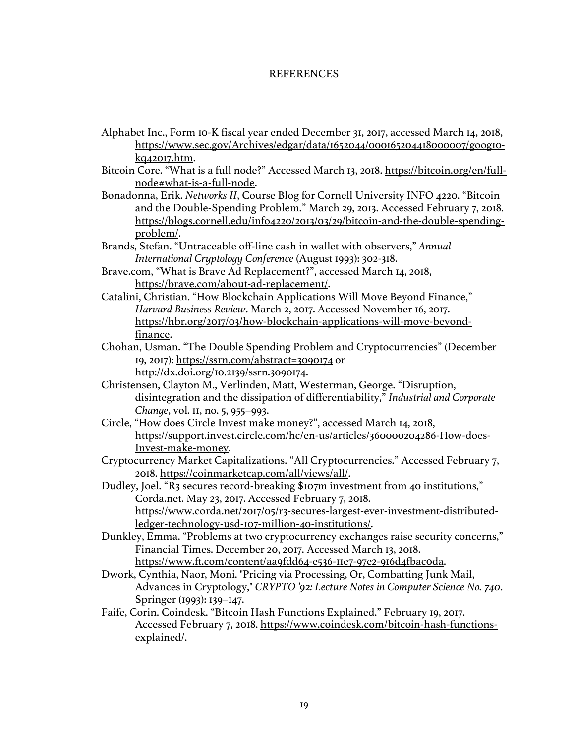#### **REFERENCES**

- Alphabet Inc., Form 10-K fiscal year ended December 31, 2017, accessed March 14, 2018, https://www.sec.gov/Archives/edgar/data/1652044/000165204418000007/goog10 kq42017.htm.
- Bitcoin Core. "What is a full node?" Accessed March 13, 2018. https://bitcoin.org/en/fullnode#what-is-a-full-node.
- Bonadonna, Erik. *Networks II*, Course Blog for Cornell University INFO 4220. "Bitcoin and the Double-Spending Problem." March 29, 2013. Accessed February 7, 2018. https://blogs.cornell.edu/info4220/2013/03/29/bitcoin-and-the-double-spendingproblem/.
- Brands, Stefan. "Untraceable off-line cash in wallet with observers," *Annual International Cryptology Conference* (August 1993): 302-318.
- Brave.com, "What is Brave Ad Replacement?", accessed March 14, 2018, https://brave.com/about-ad-replacement/.
- Catalini, Christian. "How Blockchain Applications Will Move Beyond Finance," *Harvard Business Review*. March 2, 2017. Accessed November 16, 2017. https://hbr.org/2017/03/how-blockchain-applications-will-move-beyondfinance.
- Chohan, Usman. "The Double Spending Problem and Cryptocurrencies" (December 19, 2017): https://ssrn.com/abstract=3090174 or http://dx.doi.org/10.2139/ssrn.3090174.
- Christensen, Clayton M., Verlinden, Matt, Westerman, George. "Disruption, disintegration and the dissipation of differentiability," *Industrial and Corporate Change*, vol. 11, no. 5, 955–993.
- Circle, "How does Circle Invest make money?", accessed March 14, 2018, https://support.invest.circle.com/hc/en-us/articles/360000204286-How-does-Invest-make-money.
- Cryptocurrency Market Capitalizations. "All Cryptocurrencies." Accessed February 7, 2018. https://coinmarketcap.com/all/views/all/.
- Dudley, Joel. "R3 secures record-breaking \$107m investment from 40 institutions," Corda.net. May 23, 2017. Accessed February 7, 2018. https://www.corda.net/2017/05/r3-secures-largest-ever-investment-distributedledger-technology-usd-107-million-40-institutions/.
- Dunkley, Emma. "Problems at two cryptocurrency exchanges raise security concerns," Financial Times. December 20, 2017. Accessed March 13, 2018. https://www.ft.com/content/aa9fdd64-e536-11e7-97e2-916d4fbac0da.
- Dwork, Cynthia, Naor, Moni. "Pricing via Processing, Or, Combatting Junk Mail, Advances in Cryptology," *CRYPTO '92: Lecture Notes in Computer Science No. 740*. Springer (1993): 139–147.
- Faife, Corin. Coindesk. "Bitcoin Hash Functions Explained." February 19, 2017. Accessed February 7, 2018. https://www.coindesk.com/bitcoin-hash-functionsexplained/.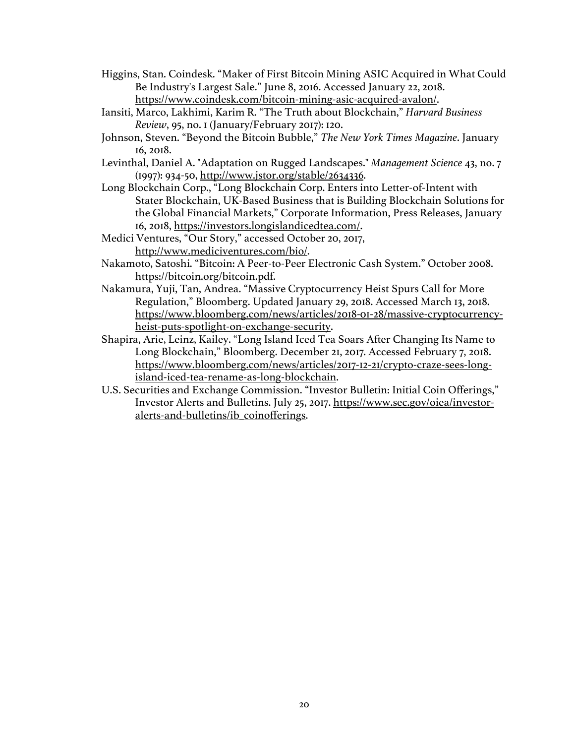- Higgins, Stan. Coindesk. "Maker of First Bitcoin Mining ASIC Acquired in What Could Be Industry's Largest Sale." June 8, 2016. Accessed January 22, 2018. https://www.coindesk.com/bitcoin-mining-asic-acquired-avalon/.
- Iansiti, Marco, Lakhimi, Karim R. "The Truth about Blockchain," *Harvard Business Review*, 95, no. 1 (January/February 2017): 120.
- Johnson, Steven. "Beyond the Bitcoin Bubble," *The New York Times Magazine*. January 16, 2018.
- Levinthal, Daniel A. "Adaptation on Rugged Landscapes." *Management Science* 43, no. 7 (1997): 934-50, http://www.jstor.org/stable/2634336.
- Long Blockchain Corp., "Long Blockchain Corp. Enters into Letter-of-Intent with Stater Blockchain, UK-Based Business that is Building Blockchain Solutions for the Global Financial Markets," Corporate Information, Press Releases, January 16, 2018, https://investors.longislandicedtea.com/.
- Medici Ventures, "Our Story," accessed October 20, 2017, http://www.mediciventures.com/bio/.
- Nakamoto, Satoshi. "Bitcoin: A Peer-to-Peer Electronic Cash System." October 2008. https://bitcoin.org/bitcoin.pdf.
- Nakamura, Yuji, Tan, Andrea. "Massive Cryptocurrency Heist Spurs Call for More Regulation," Bloomberg. Updated January 29, 2018. Accessed March 13, 2018. https://www.bloomberg.com/news/articles/2018-01-28/massive-cryptocurrencyheist-puts-spotlight-on-exchange-security.
- Shapira, Arie, Leinz, Kailey. "Long Island Iced Tea Soars After Changing Its Name to Long Blockchain," Bloomberg. December 21, 2017. Accessed February 7, 2018. https://www.bloomberg.com/news/articles/2017-12-21/crypto-craze-sees-longisland-iced-tea-rename-as-long-blockchain.
- U.S. Securities and Exchange Commission. "Investor Bulletin: Initial Coin Offerings," Investor Alerts and Bulletins. July 25, 2017. https://www.sec.gov/oiea/investoralerts-and-bulletins/ib\_coinofferings.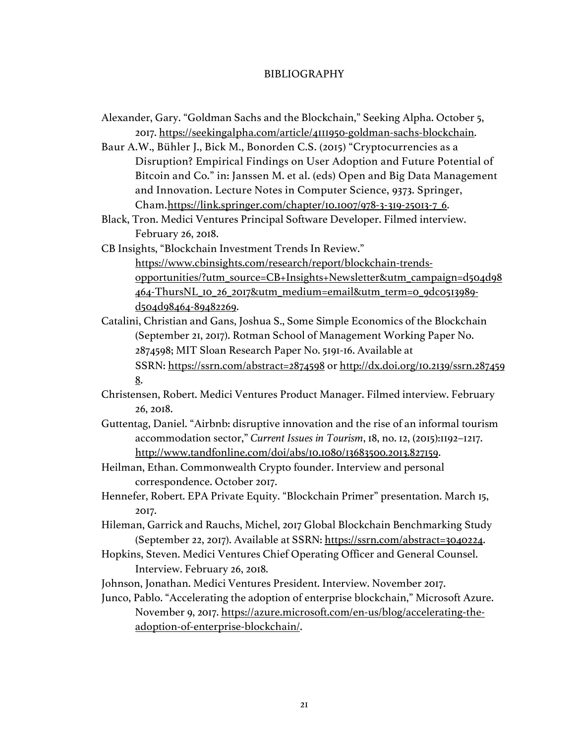#### BIBLIOGRAPHY

Alexander, Gary. "Goldman Sachs and the Blockchain," Seeking Alpha. October 5, 2017. https://seekingalpha.com/article/4111950-goldman-sachs-blockchain.

Baur A.W., Bühler J., Bick M., Bonorden C.S. (2015) "Cryptocurrencies as a Disruption? Empirical Findings on User Adoption and Future Potential of Bitcoin and Co." in: Janssen M. et al. (eds) Open and Big Data Management and Innovation. Lecture Notes in Computer Science, 9373. Springer, Cham.https://link.springer.com/chapter/10.1007/978-3-319-25013-7\_6.

Black, Tron. Medici Ventures Principal Software Developer. Filmed interview. February 26, 2018.

CB Insights, "Blockchain Investment Trends In Review." https://www.cbinsights.com/research/report/blockchain-trendsopportunities/?utm\_source=CB+Insights+Newsletter&utm\_campaign=d504d98

464-ThursNL\_10\_26\_2017&utm\_medium=email&utm\_term=0\_9dc0513989 d504d98464-89482269.

Catalini, Christian and Gans, Joshua S., Some Simple Economics of the Blockchain (September 21, 2017). Rotman School of Management Working Paper No. 2874598; MIT Sloan Research Paper No. 5191-16. Available at

SSRN: https://ssrn.com/abstract=2874598 or http://dx.doi.org/10.2139/ssrn.287459 8.

- Christensen, Robert. Medici Ventures Product Manager. Filmed interview. February 26, 2018.
- Guttentag, Daniel. "Airbnb: disruptive innovation and the rise of an informal tourism accommodation sector," *Current Issues in Tourism*, 18, no. 12, (2015):1192–1217. http://www.tandfonline.com/doi/abs/10.1080/13683500.2013.827159.
- Heilman, Ethan. Commonwealth Crypto founder. Interview and personal correspondence. October 2017.
- Hennefer, Robert. EPA Private Equity. "Blockchain Primer" presentation. March 15, 2017.
- Hileman, Garrick and Rauchs, Michel, 2017 Global Blockchain Benchmarking Study (September 22, 2017). Available at SSRN: https://ssrn.com/abstract=3040224.
- Hopkins, Steven. Medici Ventures Chief Operating Officer and General Counsel. Interview. February 26, 2018.

Johnson, Jonathan. Medici Ventures President. Interview. November 2017.

Junco, Pablo. "Accelerating the adoption of enterprise blockchain," Microsoft Azure. November 9, 2017. https://azure.microsoft.com/en-us/blog/accelerating-theadoption-of-enterprise-blockchain/.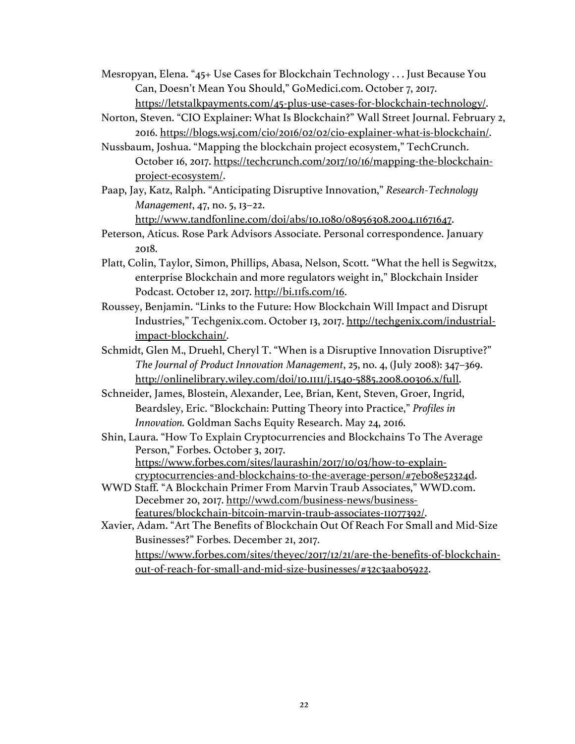Mesropyan, Elena. "45+ Use Cases for Blockchain Technology . . . Just Because You Can, Doesn't Mean You Should," GoMedici.com. October 7, 2017. https://letstalkpayments.com/45-plus-use-cases-for-blockchain-technology/.

- Norton, Steven. "CIO Explainer: What Is Blockchain?" Wall Street Journal. February 2, 2016. https://blogs.wsj.com/cio/2016/02/02/cio-explainer-what-is-blockchain/.
- Nussbaum, Joshua. "Mapping the blockchain project ecosystem," TechCrunch. October 16, 2017. https://techcrunch.com/2017/10/16/mapping-the-blockchainproject-ecosystem/.
- Paap, Jay, Katz, Ralph. "Anticipating Disruptive Innovation," *Research-Technology Management*, 47, no. 5, 13–22.

http://www.tandfonline.com/doi/abs/10.1080/08956308.2004.11671647.

- Peterson, Aticus. Rose Park Advisors Associate. Personal correspondence. January 2018.
- Platt, Colin, Taylor, Simon, Phillips, Abasa, Nelson, Scott. "What the hell is Segwit2x, enterprise Blockchain and more regulators weight in," Blockchain Insider Podcast. October 12, 2017. http://bi.11fs.com/16.
- Roussey, Benjamin. "Links to the Future: How Blockchain Will Impact and Disrupt Industries," Techgenix.com. October 13, 2017. http://techgenix.com/industrialimpact-blockchain/.
- Schmidt, Glen M., Druehl, Cheryl T. "When is a Disruptive Innovation Disruptive?" *The Journal of Product Innovation Management*, 25, no. 4, (July 2008): 347–369. http://onlinelibrary.wiley.com/doi/10.1111/j.1540-5885.2008.00306.x/full.
- Schneider, James, Blostein, Alexander, Lee, Brian, Kent, Steven, Groer, Ingrid, Beardsley, Eric. "Blockchain: Putting Theory into Practice," *Profiles in Innovation.* Goldman Sachs Equity Research. May 24, 2016.
- Shin, Laura. "How To Explain Cryptocurrencies and Blockchains To The Average Person," Forbes. October 3, 2017. https://www.forbes.com/sites/laurashin/2017/10/03/how-to-explaincryptocurrencies-and-blockchains-to-the-average-person/#7eb08e52324d.
- WWD Staff. "A Blockchain Primer From Marvin Traub Associates," WWD.com. Decebmer 20, 2017. http://wwd.com/business-news/businessfeatures/blockchain-bitcoin-marvin-traub-associates-11077392/.

Xavier, Adam. "Art The Benefits of Blockchain Out Of Reach For Small and Mid-Size Businesses?" Forbes. December 21, 2017. https://www.forbes.com/sites/theyec/2017/12/21/are-the-benefits-of-blockchainout-of-reach-for-small-and-mid-size-businesses/#32c3aab05922.